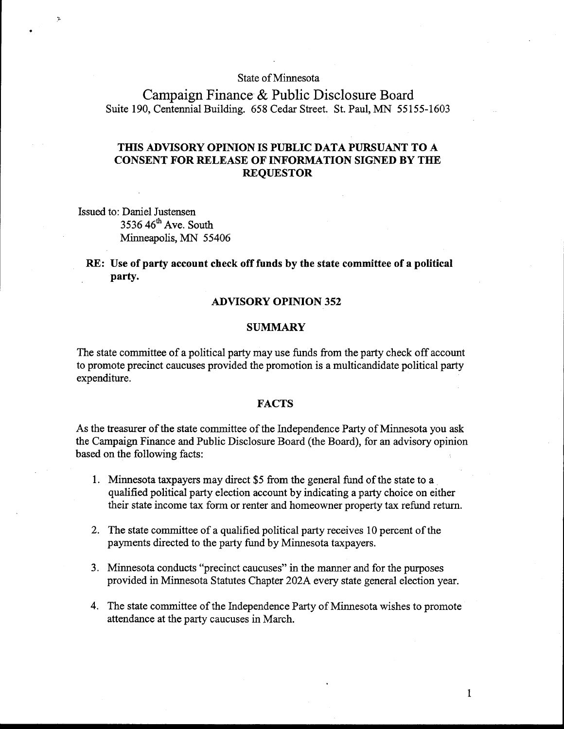## State of Minnesota

Campaign Finance & Public Disclosure Board Suite 190, Centennial Building. 658 Cedar Street. St. Paul, MN 55155-1603

# **THIS ADVISORY OPINION IS PUBLIC DATA PURSUANT TO A CONSENT FOR RELEASE OF INFORMATION SIGNED BY THE REQUESTOR**

Issued to: Daniel Justensen  $3536$  46<sup>th</sup> Ave. South Minneapolis, MN 55406

## **RE: Use of party account check off funds by the state committee of a political**  party.

#### **ADVISORY OPINION 352**

## **SUMMARY**

The state committee of a political party may use funds from the party check off account to promote precinct caucuses provided the promotion is a multicandidate political party expenditure.

### **FACTS**

As the treasurer of the state committee of the Independence Party of Minnesota you ask the Campaign Finance and Public Disclosure Board (the Board), for an advisory opinion based on the following facts:

- 1. Minnesota taxpayers may direct \$5 from the general fimd of the state to a qualified political party election account by indicating a party choice on either their state income tax form or renter and homeowner property tax refund return.
- 2. The state committee of a qualified political party receives 10 percent of the payments directed to the party fund by Minnesota taxpayers.
- 3. Minnesota conducts "precinct caucuses" in the manner and for the purposes provided in Minnesota Statutes Chapter 202A every state general election year.
- 4. The state committee of the Independence Party of Minnesota wishes to promote attendance at the party caucuses in March.

 $\mathbf{1}$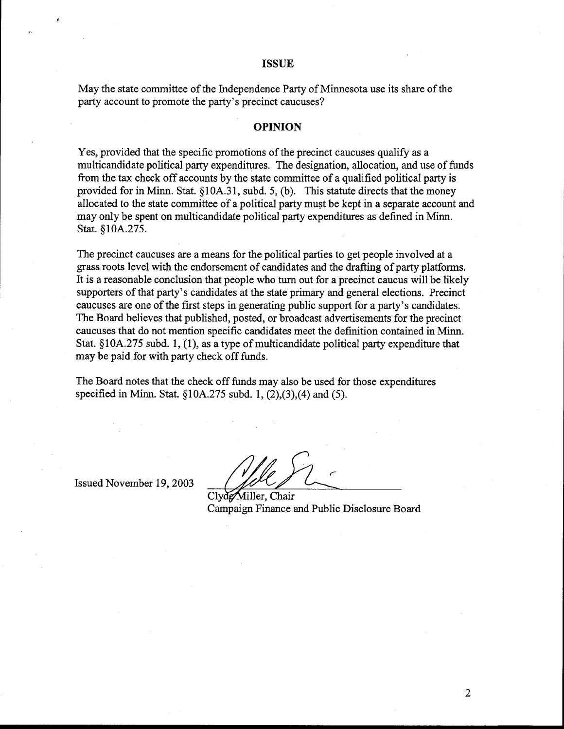#### **ISSUE**

May the state committee of the Independence Party of Minnesota use its share of the party account to promote the party's precinct caucuses?

#### **OPINION**

Yes, provided that the specific promotions of the precinct caucuses qualify as a multicandidate political party expenditures. The designation, allocation, and use of funds from the tax check off accounts by the state committee of a qualified political party is provided for in Minn. Stat. § 10A.3 1, subd. 5, (b). This statute directs that the money allocated to the state committee of a political party must be kept in a separate account and may only be spent on multicandidate political party expenditures as defined in Minn. Stat. §10A.275.

The precinct caucuses are a means for the political parties to get people involved at a grass roots level with the endorsement of candidates and the drafting of party platforms. It is a reasonable conclusion that people who turn out for a precinct caucus will be likely supporters of that party's candidates at the state primary and general elections. Precinct caucuses are one of the first steps in generating public support for a party's candidates. The Board believes that published, posted, or broadcast advertisements for the precinct caucuses that do not mention specific candidates meet the definition contained in Minn. Stat.  $$10A.275$  subd. 1, (1), as a type of multicandidate political party expenditure that may be paid for with party check off funds.

The Board notes that the check off funds may also be used for those expenditures specified in Minn. Stat. 5 10A.275 subd. **1,** (2),(3),(4) and (5).

Issued November 19,2003

Clyde Miller, Chair Campaign Finance and Public Disclosure Board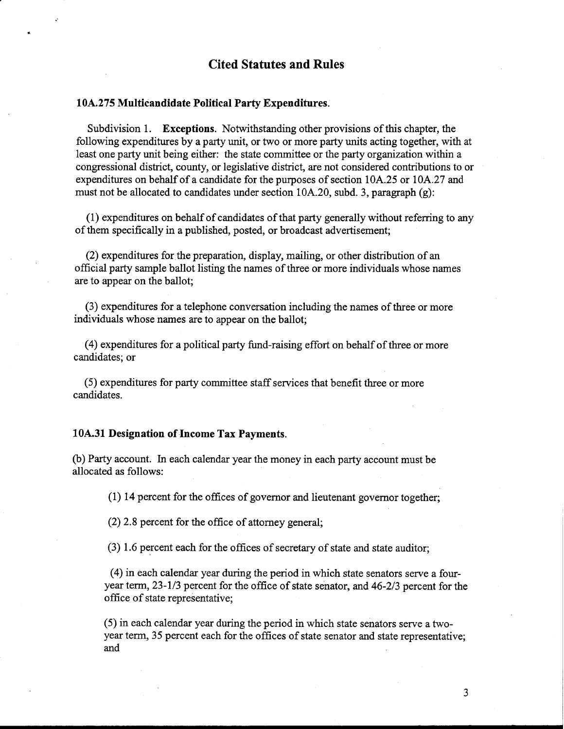# **Cited Statutes and Rules**

#### **10A.275 Multicandidate Political Party Expenditures.**

Subdivision 1. **Exceptions.** Notwithstanding other provisions of this chapter, the following expenditures by a party unit, or two or more party units acting together, with at least one party unit being either: the state committee or the party organization within a congressional district, county, or legislative district, are not considered contributions to or expenditures on behalf of a candidate for the purposes of section 10A.25 or 10A.27 and must not be allocated to candidates under section 10A.20, subd. 3, paragraph (g):

(1) expenditures on behalf of candidates of that party generally without referring to any of them specifically in a published, posted, or broadcast advertisement;

(2) expenditures for the preparation, display, mailing, or other distribution of an official party sample ballot listing the names of three or more individuals whose names are to appear on the ballot;

(3) expenditures for a telephone conversation including the names of three or more individuals whose names are to appear on the ballot;

(4) expenditures for a political party fund-raising effort on behalf of three or more candidates; or

(5) expenditures for party committee staff services that benefit three or more candidates.

#### **10A.31 Designation of Income Tax Payments.**

(b) Party account. In each calendar year the money in each party account must be allocated as follows:

(1) 14 percent for the offices of governor and lieutenant governor together;

(2) 2.8 percent for the office of attorney general;

(3) 1.6 percent each for the offices of secretary of state and state auditor;

(4) in each calendar year during the period in which state senators serve a fouryear term, 23-113 percent for the office of state senator, and 46-213 percent for the office of state representative;

(5) in each calendar year during the period in which state senators serve a twoyear term, 35 percent each for the offices of state senator and state representative; and

3